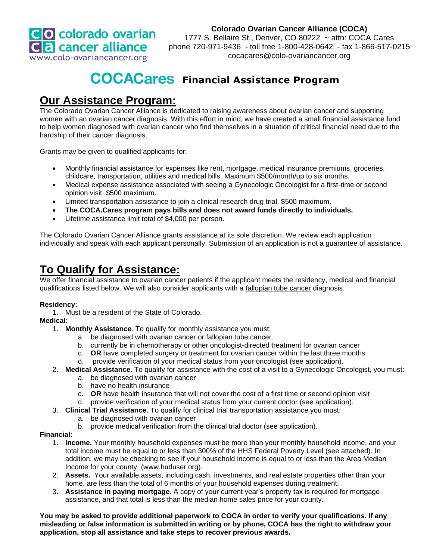

#### **Colorado Ovarian Cancer Alliance (COCA)**

1777 S. Bellaire St., Denver, CO 80222 ~ attn: COCA Cares phone 720-971-9436 - toll free 1-800-428-0642 - fax 1-866-517-0215 cocacares@colo-ovariancancer.org

# **COCACares** Financial Assistance Program

### **Our Assistance Program:**

The Colorado Ovarian Cancer Alliance is dedicated to raising awareness about ovarian cancer and supporting women with an ovarian cancer diagnosis. With this effort in mind, we have created a small financial assistance fund to help women diagnosed with ovarian cancer who find themselves in a situation of critical financial need due to the hardship of their cancer diagnosis.

Grants may be given to qualified applicants for:

- Monthly financial assistance for expenses like rent, mortgage, medical insurance premiums, groceries, childcare, transportation, utilities and medical bills. Maximum \$500/month/up to six months.
- Medical expense assistance associated with seeing a Gynecologic Oncologist for a first-time or second opinion visit. \$500 maximum.
- Limited transportation assistance to join a clinical research drug trial. \$500 maximum.
- **The COCA.Cares program pays bills and does not award funds directly to individuals.**
- Lifetime assistance limit total of \$4,000 per person.

The Colorado Ovarian Cancer Alliance grants assistance at its sole discretion. We review each application individually and speak with each applicant personally. Submission of an application is not a guarantee of assistance.

### **To Qualify for Assistance:**

We offer financial assistance to ovarian cancer patients if the applicant meets the residency, medical and financial qualifications listed below. We will also consider applicants with a fallopian tube cancer diagnosis.

#### **Residency:**

1. Must be a resident of the State of Colorado.

#### **Medical:**

- 1. **Monthly Assistance***.* To qualify for monthly assistance you must:
	- a. be diagnosed with ovarian cancer or fallopian tube cancer.
	- b. currently be in chemotherapy or other oncologist-directed treatment for ovarian cancer
	- c. **OR** have completed surgery or treatment for ovarian cancer within the last three months
	- d. provide verification of your medical status from your oncologist (see application).
- 2. **Medical Assistance.** To qualify for assistance with the cost of a visit to a Gynecologic Oncologist, you must:
	- a. be diagnosed with ovarian cancer
	- b. have no health insurance
	- c. **OR** have health insurance that will not cover the cost of a first time or second opinion visit
	- d. provide verification of your medical status from your current doctor (see application).
- 3. **Clinical Trial Assistance**. To qualify for clinical trial transportation assistance you must:
	- a. be diagnosed with ovarian cancer
	- b. provide medical verification from the clinical trial doctor (see application).

#### **Financial:**

- 1. **Income.** Your monthly household expenses must be more than your monthly household income, and your total income must be equal to or less than 300% of the HHS Federal Poverty Level (see attached). In addition, we may be checking to see if your household income is equal to or less than the Area Median Income for your county (www.huduser.org).
- 2. **Assets.**Your available assets, including cash, investments, and real estate properties other than your home, are less than the total of 6 months of your household expenses during treatment.
- 3. **Assistance in paying mortgage.** A copy of your current year's property tax is required for mortgage assistance, and that total is less than the median home sales price for your county.

**You may be asked to provide additional paperwork to COCA in order to verify your qualifications. If any misleading or false information is submitted in writing or by phone, COCA has the right to withdraw your application, stop all assistance and take steps to recover previous awards.**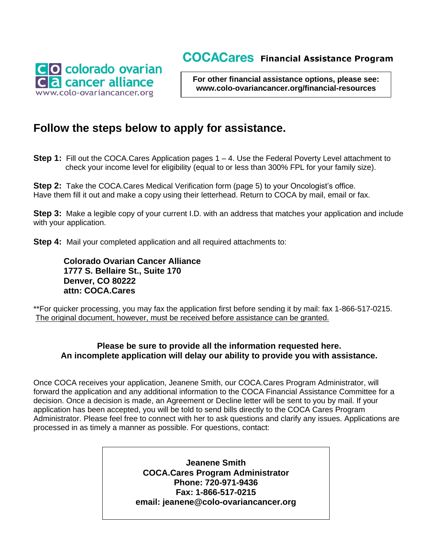### **COCACares** Financial Assistance Program



**For other financial assistance options, please see: www.colo-ovariancancer.org/financial-resources**

### **Follow the steps below to apply for assistance.**

**Step 1:** Fill out the COCA.Cares Application pages 1 – 4. Use the Federal Poverty Level attachment to check your income level for eligibility (equal to or less than 300% FPL for your family size).

**Step 2:** Take the COCA.Cares Medical Verification form (page 5) to your Oncologist's office. Have them fill it out and make a copy using their letterhead. Return to COCA by mail, email or fax.

**Step 3:** Make a legible copy of your current I.D. with an address that matches your application and include with your application.

**Step 4:** Mail your completed application and all required attachments to:

 **Colorado Ovarian Cancer Alliance 1777 S. Bellaire St., Suite 170 Denver, CO 80222 attn: COCA.Cares**

\*\*For quicker processing, you may fax the application first before sending it by mail: fax 1-866-517-0215. The original document, however, must be received before assistance can be granted.

#### **Please be sure to provide all the information requested here. An incomplete application will delay our ability to provide you with assistance.**

Once COCA receives your application, Jeanene Smith, our COCA.Cares Program Administrator, will forward the application and any additional information to the COCA Financial Assistance Committee for a decision. Once a decision is made, an Agreement or Decline letter will be sent to you by mail. If your application has been accepted, you will be told to send bills directly to the COCA Cares Program Administrator. Please feel free to connect with her to ask questions and clarify any issues. Applications are processed in as timely a manner as possible. For questions, contact:

> **Jeanene Smith COCA.Cares Program Administrator Phone: 720-971-9436 Fax: 1-866-517-0215 email: jeanene@colo-ovariancancer.org**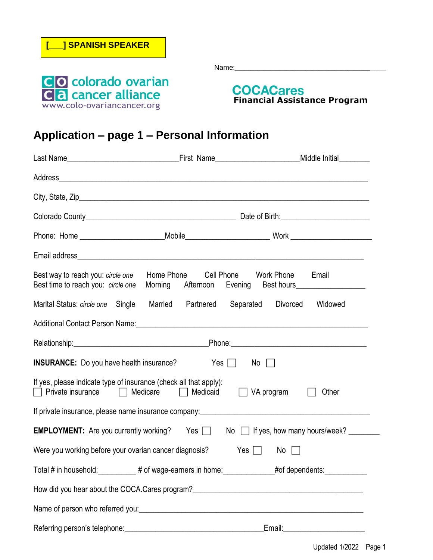

## **Application – page 1 – Personal Information**

|                                                                                                                                              |                       | Phone: Home ____________________________Mobile__________________________________Work _________________________ |  |  |
|----------------------------------------------------------------------------------------------------------------------------------------------|-----------------------|----------------------------------------------------------------------------------------------------------------|--|--|
|                                                                                                                                              |                       |                                                                                                                |  |  |
| Best way to reach you: circle one<br>Best time to reach you: circle one                                                                      | Home Phone Cell Phone | Work Phone<br>Email                                                                                            |  |  |
| Marital Status: circle one Single Married Partnered                                                                                          |                       | Separated Divorced<br>Widowed                                                                                  |  |  |
|                                                                                                                                              |                       |                                                                                                                |  |  |
|                                                                                                                                              |                       |                                                                                                                |  |  |
| <b>INSURANCE:</b> Do you have health insurance?<br>Yes $\Box$ No $\Box$                                                                      |                       |                                                                                                                |  |  |
| If yes, please indicate type of insurance (check all that apply):<br>□ Private insurance □ Medicare □ Medicaid<br>$\Box$ VA program<br>Other |                       |                                                                                                                |  |  |
|                                                                                                                                              |                       |                                                                                                                |  |  |
|                                                                                                                                              |                       | <b>EMPLOYMENT:</b> Are you currently working? Yes and No in tyes, how many hours/week?                         |  |  |
| Were you working before your ovarian cancer diagnosis?                                                                                       |                       | Yes $\Box$ No $\Box$                                                                                           |  |  |
|                                                                                                                                              |                       | Total # in household: __________ # of wage-earners in home: ____________#of dependents: ___________            |  |  |
|                                                                                                                                              |                       |                                                                                                                |  |  |
|                                                                                                                                              |                       |                                                                                                                |  |  |
| Referring person's telephone: example and a series of the series of the series of the series of the series of                                |                       |                                                                                                                |  |  |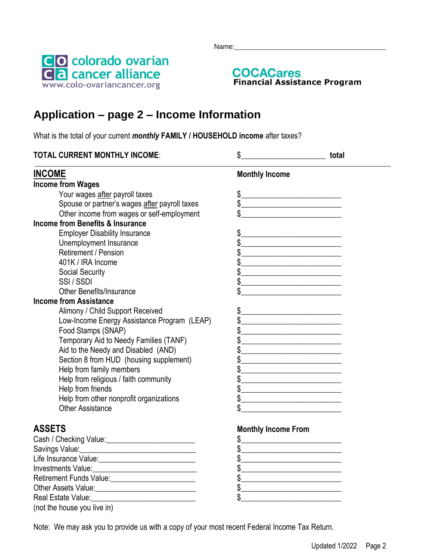Name:\_\_\_\_\_\_\_\_\_\_\_\_\_\_\_\_\_\_\_\_\_\_\_\_\_\_\_\_\_\_\_\_\_\_\_\_\_\_\_\_\_\_\_\_\_\_\_





## **Application – page 2 – Income Information**

What is the total of your current *monthly* **FAMILY / HOUSEHOLD income** after taxes?

| <b>TOTAL CURRENT MONTHLY INCOME:</b>                                                                                                                                                                                                   | \$<br><u> 1990 - Johann Barbara, martxa a</u>                                                                                         | total |
|----------------------------------------------------------------------------------------------------------------------------------------------------------------------------------------------------------------------------------------|---------------------------------------------------------------------------------------------------------------------------------------|-------|
| <b>INCOME</b>                                                                                                                                                                                                                          | <b>Monthly Income</b>                                                                                                                 |       |
| <b>Income from Wages</b>                                                                                                                                                                                                               |                                                                                                                                       |       |
| Your wages after payroll taxes                                                                                                                                                                                                         | $\frac{1}{2}$<br><u> 1989 - Jan James James Jan James James James James James James James James James James James James James Jam</u> |       |
| Spouse or partner's wages after payroll taxes                                                                                                                                                                                          | $\frac{1}{2}$                                                                                                                         |       |
| Other income from wages or self-employment                                                                                                                                                                                             |                                                                                                                                       |       |
| Income from Benefits & Insurance                                                                                                                                                                                                       |                                                                                                                                       |       |
| <b>Employer Disability Insurance</b>                                                                                                                                                                                                   |                                                                                                                                       |       |
| Unemployment Insurance                                                                                                                                                                                                                 | <u> 1989 - Johann Stein, mars et al. 1989 - Anna ann an t-</u>                                                                        |       |
| Retirement / Pension                                                                                                                                                                                                                   |                                                                                                                                       |       |
| 401K / IRA Income                                                                                                                                                                                                                      |                                                                                                                                       |       |
| <b>Social Security</b>                                                                                                                                                                                                                 |                                                                                                                                       |       |
| SSI/SSDI                                                                                                                                                                                                                               |                                                                                                                                       |       |
| <b>Other Benefits/Insurance</b>                                                                                                                                                                                                        |                                                                                                                                       |       |
| <b>Income from Assistance</b>                                                                                                                                                                                                          |                                                                                                                                       |       |
| Alimony / Child Support Received                                                                                                                                                                                                       |                                                                                                                                       |       |
| Low-Income Energy Assistance Program (LEAP)                                                                                                                                                                                            | <u> 1989 - Johann John Stone, mars eta bainar eta bainar eta baina eta baina eta baina eta baina eta baina eta b</u>                  |       |
| Food Stamps (SNAP)                                                                                                                                                                                                                     |                                                                                                                                       |       |
| Temporary Aid to Needy Families (TANF)                                                                                                                                                                                                 | <u> 1989 - Johann Barbara, martxa alemaniar a</u>                                                                                     |       |
| Aid to the Needy and Disabled (AND)                                                                                                                                                                                                    |                                                                                                                                       |       |
| Section 8 from HUD (housing supplement)                                                                                                                                                                                                |                                                                                                                                       |       |
| Help from family members                                                                                                                                                                                                               |                                                                                                                                       |       |
| Help from religious / faith community                                                                                                                                                                                                  |                                                                                                                                       |       |
| Help from friends                                                                                                                                                                                                                      |                                                                                                                                       |       |
| Help from other nonprofit organizations                                                                                                                                                                                                | <u> 1989 - Johann Barn, mars ann an t-Amhain an t-Amhain an t-Amhain an t-Amhain an t-Amhain an t-Amhain an t-A</u>                   |       |
| <b>Other Assistance</b>                                                                                                                                                                                                                |                                                                                                                                       |       |
| <b>ASSETS</b>                                                                                                                                                                                                                          | <b>Monthly Income From</b>                                                                                                            |       |
| Cash / Checking Value: \\square\\square\\square\\square\\square\\square\\square\\square\\square\\square\\square\\square\\square\\square\\square\\square\\square\\square\\square\\square\\square\\square\\square\\square\\squar         | \$<br><u> 1980 - Johann Barn, fransk politik (</u>                                                                                    |       |
|                                                                                                                                                                                                                                        | <u> 1989 - Johann Barbara, martin amerikan basar dan berasal dalam basar dalam basar dalam basar dalam basar dala</u>                 |       |
|                                                                                                                                                                                                                                        | <u> 1989 - Johann Barbara, martxa alemaniar a</u>                                                                                     |       |
|                                                                                                                                                                                                                                        |                                                                                                                                       |       |
| Retirement Funds Value:<br><u>Leting and the subset of the subset of the subset of the subset of the subset of the subset of the subset of the subset of the subset of the subset of the subset of the subset of the subset of the</u> |                                                                                                                                       |       |
| <b>Other Assets Value:</b>                                                                                                                                                                                                             |                                                                                                                                       |       |

Note: We may ask you to provide us with a copy of your most recent Federal Income Tax Return.

(not the house you live in)

Real Estate Value:\_\_\_\_\_\_\_\_\_\_\_\_\_\_\_\_\_\_\_\_\_\_\_\_\_\_\_ \$\_\_\_\_\_\_\_\_\_\_\_\_\_\_\_\_\_\_\_\_\_\_\_\_\_\_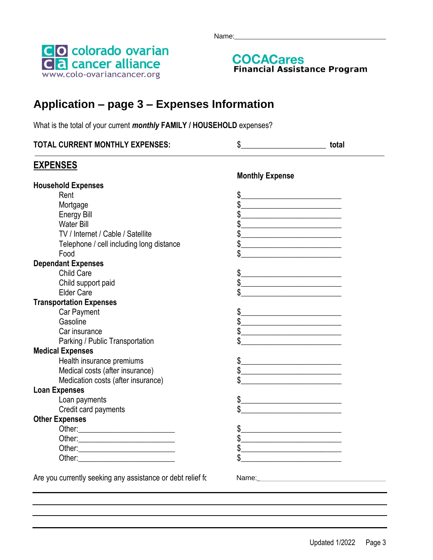



# **Application – page 3 – Expenses Information**

What is the total of your current *monthly* **FAMILY / HOUSEHOLD** expenses?

| <b>TOTAL CURRENT MONTHLY EXPENSES:</b> |  | tota. |
|----------------------------------------|--|-------|
|----------------------------------------|--|-------|

### **EXPENSES**

|                                                            | <b>Monthly Expense</b>                                                                                                                                                                                                                                                                                                                                              |
|------------------------------------------------------------|---------------------------------------------------------------------------------------------------------------------------------------------------------------------------------------------------------------------------------------------------------------------------------------------------------------------------------------------------------------------|
| <b>Household Expenses</b>                                  |                                                                                                                                                                                                                                                                                                                                                                     |
| Rent                                                       | \$<br>the contract of the contract of the contract of the contract of the contract of                                                                                                                                                                                                                                                                               |
| Mortgage                                                   |                                                                                                                                                                                                                                                                                                                                                                     |
| <b>Energy Bill</b>                                         | \$                                                                                                                                                                                                                                                                                                                                                                  |
| <b>Water Bill</b>                                          |                                                                                                                                                                                                                                                                                                                                                                     |
| TV / Internet / Cable / Satellite                          | $\frac{1}{2}$                                                                                                                                                                                                                                                                                                                                                       |
| Telephone / cell including long distance                   | $\frac{1}{2}$                                                                                                                                                                                                                                                                                                                                                       |
| Food                                                       | \$<br>the control of the control of the control of the control of the control of                                                                                                                                                                                                                                                                                    |
| <b>Dependant Expenses</b>                                  |                                                                                                                                                                                                                                                                                                                                                                     |
| Child Care                                                 | $\frac{1}{2}$                                                                                                                                                                                                                                                                                                                                                       |
| Child support paid                                         | $\begin{picture}(20,10) \put(0,0){\vector(1,0){100}} \put(15,0){\vector(1,0){100}} \put(15,0){\vector(1,0){100}} \put(15,0){\vector(1,0){100}} \put(15,0){\vector(1,0){100}} \put(15,0){\vector(1,0){100}} \put(15,0){\vector(1,0){100}} \put(15,0){\vector(1,0){100}} \put(15,0){\vector(1,0){100}} \put(15,0){\vector(1,0){100}} \put(15,0){\vector(1,0){100}} \$ |
| <b>Elder Care</b>                                          |                                                                                                                                                                                                                                                                                                                                                                     |
| <b>Transportation Expenses</b>                             |                                                                                                                                                                                                                                                                                                                                                                     |
| Car Payment                                                | $\frac{1}{2}$                                                                                                                                                                                                                                                                                                                                                       |
| Gasoline                                                   | $\frac{1}{2}$                                                                                                                                                                                                                                                                                                                                                       |
| Car insurance                                              | $\frac{1}{2}$                                                                                                                                                                                                                                                                                                                                                       |
| Parking / Public Transportation                            |                                                                                                                                                                                                                                                                                                                                                                     |
| <b>Medical Expenses</b>                                    |                                                                                                                                                                                                                                                                                                                                                                     |
| Health insurance premiums                                  | $\frac{1}{2}$                                                                                                                                                                                                                                                                                                                                                       |
| Medical costs (after insurance)                            | $\frac{1}{2}$                                                                                                                                                                                                                                                                                                                                                       |
| Medication costs (after insurance)                         |                                                                                                                                                                                                                                                                                                                                                                     |
| <b>Loan Expenses</b>                                       |                                                                                                                                                                                                                                                                                                                                                                     |
| Loan payments                                              | $\frac{1}{2}$                                                                                                                                                                                                                                                                                                                                                       |
| Credit card payments                                       |                                                                                                                                                                                                                                                                                                                                                                     |
| <b>Other Expenses</b>                                      |                                                                                                                                                                                                                                                                                                                                                                     |
|                                                            | $\frac{1}{2}$                                                                                                                                                                                                                                                                                                                                                       |
|                                                            | $\frac{1}{2}$                                                                                                                                                                                                                                                                                                                                                       |
|                                                            | $\frac{1}{2}$                                                                                                                                                                                                                                                                                                                                                       |
|                                                            |                                                                                                                                                                                                                                                                                                                                                                     |
|                                                            |                                                                                                                                                                                                                                                                                                                                                                     |
| Are you currently seeking any assistance or debt relief fo | Name:                                                                                                                                                                                                                                                                                                                                                               |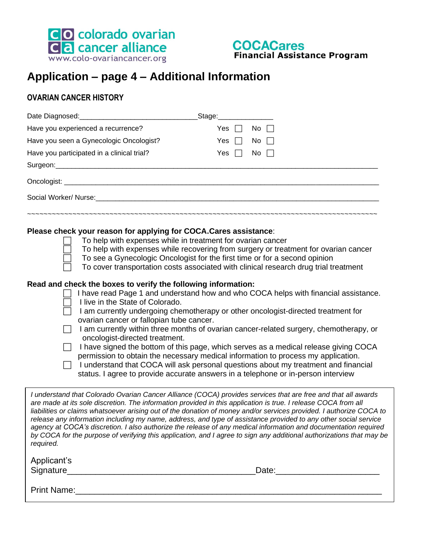



# **Application – page 4 – Additional Information**

### **OVARIAN CANCER HISTORY**

|                                                                                                                                                                                                                                                                                                                    | _Stage:_____________                                                                                                                                                                                                                                                                                                                                                                                                                                                                                                                                                                                                                                                                                                                                                                                                                                                                     |
|--------------------------------------------------------------------------------------------------------------------------------------------------------------------------------------------------------------------------------------------------------------------------------------------------------------------|------------------------------------------------------------------------------------------------------------------------------------------------------------------------------------------------------------------------------------------------------------------------------------------------------------------------------------------------------------------------------------------------------------------------------------------------------------------------------------------------------------------------------------------------------------------------------------------------------------------------------------------------------------------------------------------------------------------------------------------------------------------------------------------------------------------------------------------------------------------------------------------|
| Have you experienced a recurrence?                                                                                                                                                                                                                                                                                 | Yes $\Box$ No $\Box$                                                                                                                                                                                                                                                                                                                                                                                                                                                                                                                                                                                                                                                                                                                                                                                                                                                                     |
| Have you seen a Gynecologic Oncologist?                                                                                                                                                                                                                                                                            | Yes $\Box$<br>No $\Gamma$                                                                                                                                                                                                                                                                                                                                                                                                                                                                                                                                                                                                                                                                                                                                                                                                                                                                |
| Have you participated in a clinical trial?                                                                                                                                                                                                                                                                         | Yes $\Box$<br>No $\Box$                                                                                                                                                                                                                                                                                                                                                                                                                                                                                                                                                                                                                                                                                                                                                                                                                                                                  |
|                                                                                                                                                                                                                                                                                                                    |                                                                                                                                                                                                                                                                                                                                                                                                                                                                                                                                                                                                                                                                                                                                                                                                                                                                                          |
|                                                                                                                                                                                                                                                                                                                    |                                                                                                                                                                                                                                                                                                                                                                                                                                                                                                                                                                                                                                                                                                                                                                                                                                                                                          |
| Social Worker/ Nurse: Management of the Social Worker/ Nurse:                                                                                                                                                                                                                                                      |                                                                                                                                                                                                                                                                                                                                                                                                                                                                                                                                                                                                                                                                                                                                                                                                                                                                                          |
| Please check your reason for applying for COCA.Cares assistance:<br>To help with expenses while in treatment for ovarian cancer<br>Read and check the boxes to verify the following information:<br>I live in the State of Colorado.<br>ovarian cancer or fallopian tube cancer.<br>oncologist-directed treatment. | To help with expenses while recovering from surgery or treatment for ovarian cancer<br>To see a Gynecologic Oncologist for the first time or for a second opinion<br>To cover transportation costs associated with clinical research drug trial treatment<br>I have read Page 1 and understand how and who COCA helps with financial assistance.<br>I am currently undergoing chemotherapy or other oncologist-directed treatment for<br>I am currently within three months of ovarian cancer-related surgery, chemotherapy, or<br>I have signed the bottom of this page, which serves as a medical release giving COCA<br>permission to obtain the necessary medical information to process my application.<br>I understand that COCA will ask personal questions about my treatment and financial<br>status. I agree to provide accurate answers in a telephone or in-person interview |
| required.                                                                                                                                                                                                                                                                                                          | I understand that Colorado Ovarian Cancer Alliance (COCA) provides services that are free and that all awards<br>are made at its sole discretion. The information provided in this application is true. I release COCA from all<br>liabilities or claims whatsoever arising out of the donation of money and/or services provided. I authorize COCA to<br>release any information including my name, address, and type of assistance provided to any other social service<br>agency at COCA's discretion. I also authorize the release of any medical information and documentation required<br>by COCA for the purpose of verifying this application, and I agree to sign any additional authorizations that may be                                                                                                                                                                     |
| Applicant's                                                                                                                                                                                                                                                                                                        |                                                                                                                                                                                                                                                                                                                                                                                                                                                                                                                                                                                                                                                                                                                                                                                                                                                                                          |
| Print Name: 1988 - 1989 - 1989 - 1989 - 1989 - 1989 - 1989 - 1989 - 1989 - 1989 - 1989 - 1989 - 1989 - 1989 - 1                                                                                                                                                                                                    |                                                                                                                                                                                                                                                                                                                                                                                                                                                                                                                                                                                                                                                                                                                                                                                                                                                                                          |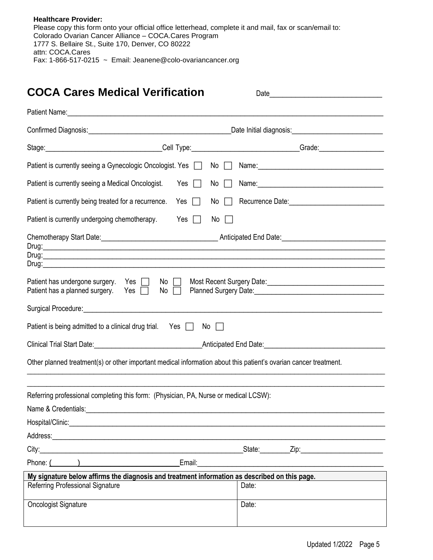| <b>Healthcare Provider:</b>                                                                             |
|---------------------------------------------------------------------------------------------------------|
| Please copy this form onto your official office letterhead, complete it and mail, fax or scan/email to: |
| Colorado Ovarian Cancer Alliance – COCA.Cares Program                                                   |
| 1777 S. Bellaire St., Suite 170, Denver, CO 80222                                                       |
| attn: COCA.Cares                                                                                        |
| Fax: 1-866-517-0215 $\sim$ Email: Jeanene@colo-ovariancancer.org                                        |

# **COCA Cares Medical Verification** Date\_\_\_\_\_\_\_\_\_\_\_\_\_\_\_\_\_\_\_\_\_\_\_\_\_\_

|                                                                                                                                                                                                                                | _Date Initial diagnosis:______________________________ |  |  |
|--------------------------------------------------------------------------------------------------------------------------------------------------------------------------------------------------------------------------------|--------------------------------------------------------|--|--|
|                                                                                                                                                                                                                                |                                                        |  |  |
| Patient is currently seeing a Gynecologic Oncologist. Yes  <br>No                                                                                                                                                              |                                                        |  |  |
| Patient is currently seeing a Medical Oncologist.<br>Yes<br>No<br>$\perp$                                                                                                                                                      |                                                        |  |  |
| Patient is currently being treated for a recurrence.<br>Yes<br>No<br>$\perp$                                                                                                                                                   |                                                        |  |  |
| Patient is currently undergoing chemotherapy.<br>Yes $\Box$<br>No<br>$\perp$                                                                                                                                                   |                                                        |  |  |
| Patient has undergone surgery. Yes<br>No $\Box$<br>Patient has a planned surgery.<br>Yes $\Box$<br>No<br>$\perp$<br>Patient is being admitted to a clinical drug trial. Yes $\Box$<br>No                                       |                                                        |  |  |
| Other planned treatment(s) or other important medical information about this patient's ovarian cancer treatment.                                                                                                               |                                                        |  |  |
| Referring professional completing this form: (Physician, PA, Nurse or medical LCSW):<br>Hospital/Clinic:                                                                                                                       |                                                        |  |  |
|                                                                                                                                                                                                                                | _State:__________Zip:___________                       |  |  |
| Phone: ( ) Contract Contract Contract Contract Contract Contract Contract Contract Contract Contract Contract Contract Contract Contract Contract Contract Contract Contract Contract Contract Contract Contract Contract Cont |                                                        |  |  |
| My signature below affirms the diagnosis and treatment information as described on this page.                                                                                                                                  |                                                        |  |  |
| Referring Professional Signature                                                                                                                                                                                               | Date:                                                  |  |  |
| <b>Oncologist Signature</b>                                                                                                                                                                                                    | Date:                                                  |  |  |